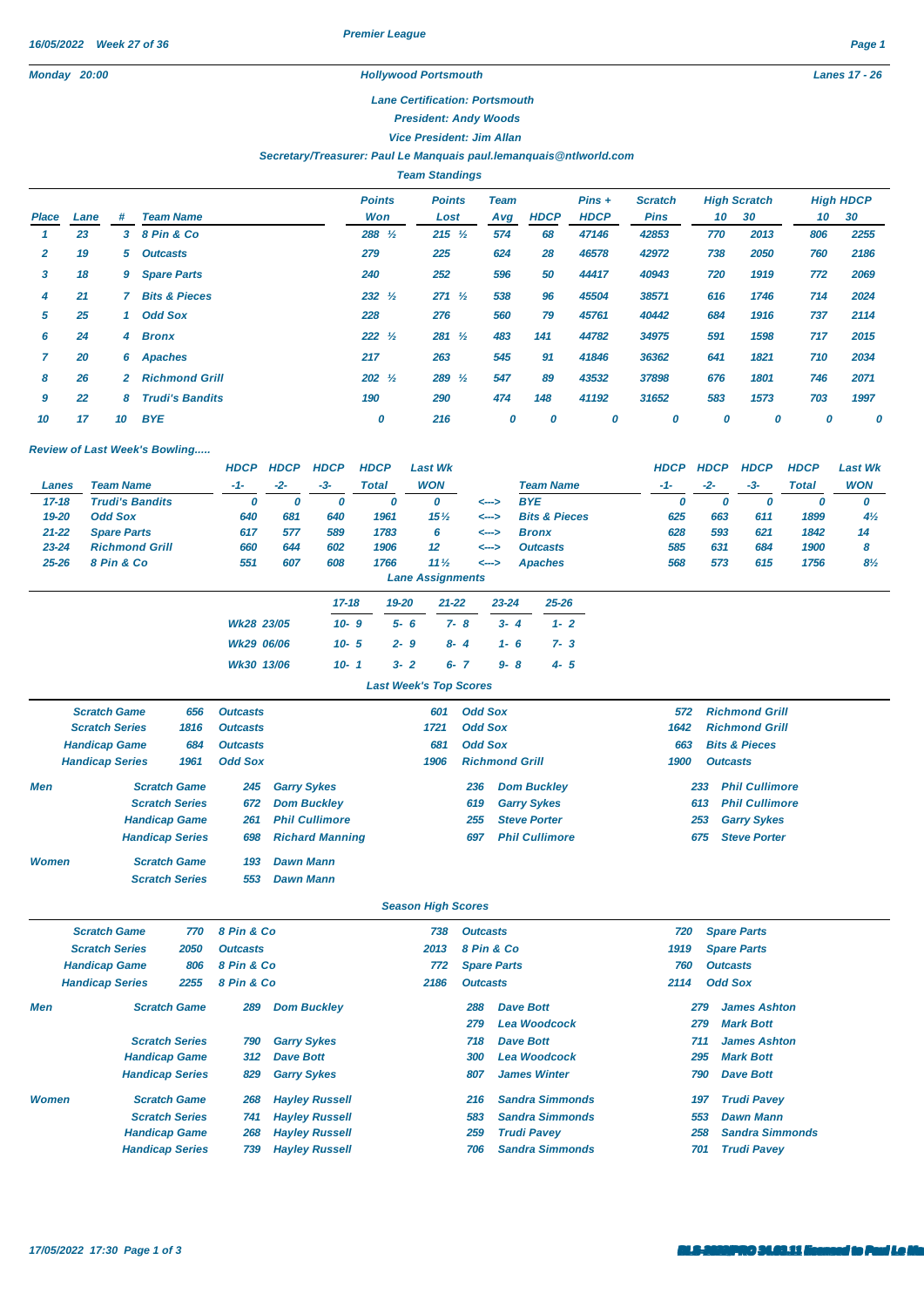*Premier League*

## *Monday 20:00 Hollywood Portsmouth Lanes 17 - 26*

## *Lane Certification: Portsmouth*

*President: Andy Woods*

*Vice President: Jim Allan*

## *Secretary/Treasurer: Paul Le Manquais [paul.lemanquais@ntlworld.com](mailto:paul.lemanquais@ntlworld.com)*

|       | <b>Team Standings</b> |                |                          |                      |                       |                    |             |                         |                               |                           |      |     |                        |  |
|-------|-----------------------|----------------|--------------------------|----------------------|-----------------------|--------------------|-------------|-------------------------|-------------------------------|---------------------------|------|-----|------------------------|--|
| Place | Lane                  | #              | <b>Team Name</b>         | <b>Points</b><br>Won | <b>Points</b><br>Lost | <b>Team</b><br>Avg | <b>HDCP</b> | $Pins +$<br><b>HDCP</b> | <b>Scratch</b><br><b>Pins</b> | <b>High Scratch</b><br>10 | 30   | 10  | <b>High HDCP</b><br>30 |  |
|       | 23                    | 3              | 8 Pin & Co               | 288 %                | $215 \frac{1}{2}$     | 574                | 68          | 47146                   | 42853                         | 770                       | 2013 | 806 | 2255                   |  |
| 2     | 19                    | 5              | <b>Outcasts</b>          | 279                  | 225                   | 624                | 28          | 46578                   | 42972                         | 738                       | 2050 | 760 | 2186                   |  |
| 3     | 18                    | 9              | <b>Spare Parts</b>       | 240                  | 252                   | 596                | 50          | 44417                   | 40943                         | 720                       | 1919 | 772 | 2069                   |  |
| 4     | 21                    |                | <b>Bits &amp; Pieces</b> | $232 \frac{1}{2}$    | $271 \frac{1}{2}$     | 538                | 96          | 45504                   | 38571                         | 616                       | 1746 | 714 | 2024                   |  |
| 5     | 25                    | 1              | <b>Odd Sox</b>           | 228                  | 276                   | 560                | 79          | 45761                   | 40442                         | 684                       | 1916 | 737 | 2114                   |  |
| 6     | 24                    | $\overline{4}$ | <b>Bronx</b>             | $222 \frac{1}{2}$    | $281 \frac{1}{2}$     | 483                | 141         | 44782                   | 34975                         | 591                       | 1598 | 717 | 2015                   |  |
|       | 20                    | 6              | Apaches                  | 217                  | 263                   | 545                | 91          | 41846                   | 36362                         | 641                       | 1821 | 710 | 2034                   |  |
| 8     | 26                    | $\mathbf{2}$   | <b>Richmond Grill</b>    | $202 \frac{1}{2}$    | $289\frac{1}{2}$      | 547                | 89          | 43532                   | 37898                         | 676                       | 1801 | 746 | 2071                   |  |
| 9     | 22                    | 8              | <b>Trudi's Bandits</b>   | 190                  | 290                   | 474                | 148         | 41192                   | 31652                         | 583                       | 1573 | 703 | 1997                   |  |
| 10    | 17                    | 10             | <b>BYE</b>               | 0                    | 216                   | 0                  | 0           | 0                       | 0                             | 0                         | 0    | 0   | 0                      |  |

## *Review of Last Week's Bowling.....*

|                                |                        |             | <b>HDCP</b>                  | <b>HDCP</b>             | <b>HDCP</b>            | <b>HDCP</b>  |                               | <b>Last Wk</b>                             |                                       |                              |                     |                          |                              | <b>HDCP</b>                       | <b>HDCP</b>           | <b>HDCP</b>              | <b>HDCP</b>  | <b>Last Wk</b> |  |
|--------------------------------|------------------------|-------------|------------------------------|-------------------------|------------------------|--------------|-------------------------------|--------------------------------------------|---------------------------------------|------------------------------|---------------------|--------------------------|------------------------------|-----------------------------------|-----------------------|--------------------------|--------------|----------------|--|
| <b>Team Name</b><br>Lanes      |                        |             | -1-                          | $-2-$                   | $-3-$                  | <b>Total</b> |                               | <b>WON</b>                                 |                                       |                              |                     | <b>Team Name</b>         |                              | $-1-$                             | $-2-$                 | -3-                      | <b>Total</b> | <b>WON</b>     |  |
| $17 - 18$                      | <b>Trudi's Bandits</b> |             | 0                            | 0                       | 0                      |              | 0                             | 0                                          |                                       |                              | <b>BYE</b><br><---> |                          |                              | 0                                 | 0                     | 0                        | 0            | 0              |  |
| 19-20                          | <b>Odd Sox</b>         |             | 640                          | 681                     | 640                    |              | 1961                          | 15 <sub>2</sub>                            |                                       | <-->                         |                     | <b>Bits &amp; Pieces</b> |                              | 625                               | 663                   | 611                      | 1899         | $4\frac{1}{2}$ |  |
| 21-22                          | <b>Spare Parts</b>     |             | 617                          | 577                     | 589                    |              | 1783                          | 6                                          |                                       | <--->                        |                     | <b>Bronx</b>             |                              | 628                               | 593                   | 621                      | 1842         | 14             |  |
| 23-24                          | <b>Richmond Grill</b>  |             | 660                          | 644                     | 602                    |              | 1906                          | 12                                         |                                       | <-->                         |                     | <b>Outcasts</b>          |                              | 585                               | 631                   | 684                      | 1900         | 8              |  |
| 25-26                          | 8 Pin & Co             |             | 551                          | 607                     | 608                    |              | 1766                          | 11 <sub>2</sub><br><b>Lane Assignments</b> |                                       | <-->                         |                     | <b>Apaches</b>           |                              | 568                               | 573                   | 615                      | 1756         | $8\frac{1}{2}$ |  |
|                                |                        |             |                              |                         |                        |              |                               |                                            |                                       |                              |                     |                          |                              |                                   |                       |                          |              |                |  |
|                                |                        |             |                              |                         | $17 - 18$              |              | 19-20                         |                                            | $21 - 22$                             |                              | 23-24               | 25-26                    |                              |                                   |                       |                          |              |                |  |
|                                |                        |             | Wk28 23/05                   |                         | $10 - 9$               |              | $5 - 6$                       |                                            | $7 - 8$                               |                              | $3 - 4$             | $1 - 2$                  |                              |                                   |                       |                          |              |                |  |
|                                |                        |             | Wk29 06/06                   |                         | $10 - 5$               |              | $2 - 9$                       |                                            | $8 - 4$                               |                              | $1 - 6$             | $7 - 3$                  |                              |                                   |                       |                          |              |                |  |
|                                |                        |             | Wk30 13/06                   |                         | $10 - 1$               |              | $3 - 2$                       |                                            | $6 - 7$                               |                              | $9 - 8$             | $4 - 5$                  |                              |                                   |                       |                          |              |                |  |
|                                |                        |             |                              |                         |                        |              | <b>Last Week's Top Scores</b> |                                            |                                       |                              |                     |                          |                              |                                   |                       |                          |              |                |  |
|                                | <b>Scratch Game</b>    | 656         | <b>Outcasts</b>              |                         |                        |              |                               | 601                                        |                                       | <b>Odd Sox</b>               |                     |                          |                              | 572                               |                       | <b>Richmond Grill</b>    |              |                |  |
| <b>Scratch Series</b><br>1816  |                        |             | <b>Outcasts</b>              |                         |                        |              |                               | 1721                                       |                                       | <b>Odd Sox</b>               |                     |                          |                              | 1642                              |                       | <b>Richmond Grill</b>    |              |                |  |
|                                | <b>Handicap Game</b>   | 684         | <b>Outcasts</b>              |                         |                        |              |                               | 681                                        |                                       | <b>Odd Sox</b>               |                     |                          |                              | 663                               |                       | <b>Bits &amp; Pieces</b> |              |                |  |
| <b>Handicap Series</b><br>1961 |                        |             | <b>Odd Sox</b>               |                         |                        |              |                               | 1906                                       |                                       | <b>Richmond Grill</b>        |                     |                          |                              | 1900                              | <b>Outcasts</b>       |                          |              |                |  |
| Men                            | <b>Scratch Game</b>    | 245         | <b>Garry Sykes</b>           |                         |                        |              |                               |                                            | 236                                   |                              | <b>Dom Buckley</b>  |                          |                              | 233                               | <b>Phil Cullimore</b> |                          |              |                |  |
|                                | <b>Scratch Series</b>  | 672         | <b>Dom Buckley</b>           |                         |                        |              |                               |                                            | 619                                   |                              | <b>Garry Sykes</b>  |                          | 613<br><b>Phil Cullimore</b> |                                   |                       |                          |              |                |  |
|                                | <b>Handicap Game</b>   |             | 261                          |                         | <b>Phil Cullimore</b>  |              |                               | 255<br><b>Steve Porter</b>                 |                                       |                              |                     |                          |                              | 253<br><b>Garry Sykes</b>         |                       |                          |              |                |  |
|                                | <b>Handicap Series</b> |             | 698                          |                         | <b>Richard Manning</b> |              |                               |                                            |                                       | <b>Phil Cullimore</b><br>697 |                     |                          |                              |                                   | 675                   | <b>Steve Porter</b>      |              |                |  |
| <b>Women</b>                   | <b>Scratch Game</b>    | 193         | <b>Dawn Mann</b>             |                         |                        |              |                               |                                            |                                       |                              |                     |                          |                              |                                   |                       |                          |              |                |  |
|                                | <b>Scratch Series</b>  |             | <b>Dawn Mann</b><br>553      |                         |                        |              |                               |                                            |                                       |                              |                     |                          |                              |                                   |                       |                          |              |                |  |
|                                |                        |             |                              |                         |                        |              |                               | <b>Season High Scores</b>                  |                                       |                              |                     |                          |                              |                                   |                       |                          |              |                |  |
|                                |                        |             |                              |                         |                        |              |                               |                                            |                                       |                              |                     |                          |                              |                                   |                       |                          |              |                |  |
|                                | <b>Scratch Game</b>    | 770         | 8 Pin & Co                   |                         |                        |              |                               | 738                                        |                                       | <b>Outcasts</b>              |                     |                          |                              | 720                               |                       | <b>Spare Parts</b>       |              |                |  |
|                                | <b>Scratch Series</b>  | 2050        | <b>Outcasts</b>              |                         |                        |              |                               | 2013<br>772                                |                                       | 8 Pin & Co                   |                     |                          |                              | 1919                              |                       | <b>Spare Parts</b>       |              |                |  |
|                                | <b>Handicap Game</b>   | 806<br>2255 | 8 Pin & Co<br>8 Pin & Co     |                         |                        |              |                               |                                            | <b>Spare Parts</b><br><b>Outcasts</b> |                              |                     |                          | 760<br>2114                  | <b>Outcasts</b><br><b>Odd Sox</b> |                       |                          |              |                |  |
|                                | <b>Handicap Series</b> |             |                              |                         |                        |              |                               | 2186                                       |                                       |                              |                     |                          |                              |                                   |                       |                          |              |                |  |
| Men                            | <b>Scratch Game</b>    |             | 289                          |                         | <b>Dom Buckley</b>     |              |                               |                                            |                                       | 288                          |                     | <b>Dave Bott</b>         |                              |                                   | 279                   | <b>James Ashton</b>      |              |                |  |
|                                |                        |             |                              |                         |                        |              |                               |                                            |                                       | 279                          |                     | <b>Lea Woodcock</b>      |                              |                                   | 279                   | <b>Mark Bott</b>         |              |                |  |
|                                | <b>Scratch Series</b>  | 790         | <b>Garry Sykes</b>           |                         |                        |              | 718                           |                                            |                                       |                              | <b>Dave Bott</b>    |                          |                              | 711                               | <b>James Ashton</b>   |                          |              |                |  |
|                                | <b>Handicap Game</b>   |             |                              | <b>Dave Bott</b><br>312 |                        |              |                               |                                            |                                       | 300                          | <b>Lea Woodcock</b> |                          |                              |                                   | 295                   | <b>Mark Bott</b>         |              |                |  |
|                                | <b>Handicap Series</b> |             | <b>Garry Sykes</b><br>829    |                         |                        |              |                               |                                            | <b>James Winter</b><br>807            |                              |                     |                          |                              | 790                               | <b>Dave Bott</b>      |                          |              |                |  |
| <b>Women</b>                   | <b>Scratch Game</b>    |             | 268<br><b>Hayley Russell</b> |                         |                        |              |                               |                                            | 216                                   | <b>Sandra Simmonds</b>       |                     |                          |                              | 197                               | <b>Trudi Pavey</b>    |                          |              |                |  |
|                                | <b>Scratch Series</b>  |             | 741                          |                         | <b>Hayley Russell</b>  |              |                               |                                            |                                       | 583                          |                     | <b>Sandra Simmonds</b>   |                              |                                   | 553                   | <b>Dawn Mann</b>         |              |                |  |
|                                | <b>Handicap Game</b>   |             | 268                          |                         | <b>Hayley Russell</b>  |              |                               |                                            |                                       | 259                          |                     | <b>Trudi Pavey</b>       |                              |                                   | 258                   | <b>Sandra Simmonds</b>   |              |                |  |
|                                | <b>Handicap Series</b> |             | 739                          |                         | <b>Hayley Russell</b>  |              |                               |                                            |                                       | 706                          |                     | <b>Sandra Simmonds</b>   |                              |                                   | 701                   | <b>Trudi Pavey</b>       |              |                |  |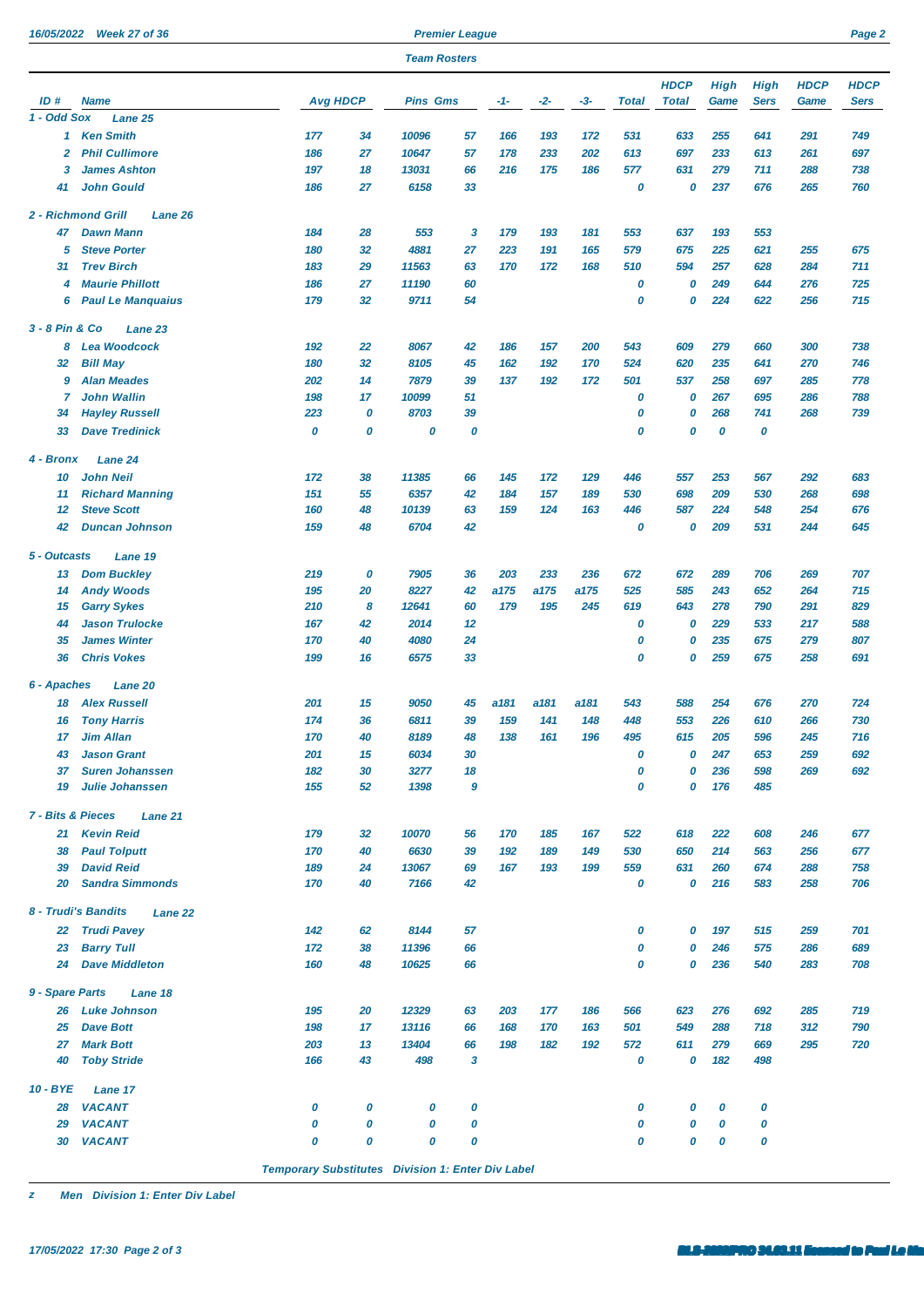*16/05/2022 Week 27 of 36 Premier League Page 2*

| <b>Team Rosters</b>          |                                       |                 |    |                 |    |       |       |       |              |              |             |             |             |             |
|------------------------------|---------------------------------------|-----------------|----|-----------------|----|-------|-------|-------|--------------|--------------|-------------|-------------|-------------|-------------|
|                              |                                       |                 |    |                 |    |       |       |       |              | <b>HDCP</b>  | <b>High</b> | <b>High</b> | <b>HDCP</b> | <b>HDCP</b> |
| ID#<br><b>Name</b>           |                                       | <b>Avg HDCP</b> |    | <b>Pins Gms</b> |    | $-1-$ | $-2-$ | $-3-$ | <b>Total</b> | <b>Total</b> | Game        | <b>Sers</b> | Game        | <b>Sers</b> |
| 1 - Odd Sox                  | Lane 25                               |                 |    |                 |    |       |       |       |              |              |             |             |             |             |
| 1                            | <b>Ken Smith</b>                      | 177             | 34 | 10096           | 57 | 166   | 193   | 172   | 531          | 633          | 255         | 641         | 291         | 749         |
| $\overline{2}$               | <b>Phil Cullimore</b>                 | 186             | 27 | 10647           | 57 | 178   | 233   | 202   | 613          | 697          | 233         | 613         | 261         | 697         |
| 3                            | <b>James Ashton</b>                   | 197             | 18 | 13031           | 66 | 216   | 175   | 186   | 577          | 631          | 279         | 711         | 288         | 738         |
| 41                           | <b>John Gould</b>                     | 186             | 27 | 6158            | 33 |       |       |       | 0            | 0            | 237         | 676         | 265         | 760         |
|                              | 2 - Richmond Grill<br>Lane 26         |                 |    |                 |    |       |       |       |              |              |             |             |             |             |
| 47                           | <b>Dawn Mann</b>                      | 184             | 28 | 553             | 3  | 179   | 193   | 181   | 553          | 637          | 193         | 553         |             |             |
| 5                            | <b>Steve Porter</b>                   | 180             | 32 | 4881            | 27 | 223   | 191   | 165   | 579          | 675          | 225         | 621         | 255         | 675         |
| 31                           | <b>Trev Birch</b>                     | 183             | 29 | 11563           | 63 | 170   | 172   | 168   | 510          | 594          | 257         | 628         | 284         | 711         |
| 4                            | <b>Maurie Phillott</b>                | 186             | 27 | 11190           | 60 |       |       |       | 0            | 0            | 249         | 644         | 276         | 725         |
| 6                            | <b>Paul Le Manquaius</b>              | 179             | 32 | 9711            | 54 |       |       |       | 0            | 0            | 224         | 622         | 256         | 715         |
| 3 - 8 Pin & Co               | Lane 23                               |                 |    |                 |    |       |       |       |              |              |             |             |             |             |
| 8                            | <b>Lea Woodcock</b>                   | 192             | 22 | 8067            | 42 | 186   | 157   | 200   | 543          | 609          | 279         | 660         | 300         | 738         |
| 32                           | <b>Bill May</b>                       | 180             | 32 | 8105            | 45 | 162   | 192   | 170   | 524          | 620          | 235         | 641         | 270         | 746         |
| 9                            | <b>Alan Meades</b>                    | 202             | 14 | 7879            | 39 | 137   | 192   | 172   | 501          | 537          | 258         | 697         | 285         | 778         |
| 7                            | <b>John Wallin</b>                    | 198             | 17 | 10099           | 51 |       |       |       | 0            | 0            | 267         | 695         | 286         | 788         |
| 34                           | <b>Hayley Russell</b>                 | 223             | 0  | 8703            | 39 |       |       |       | 0            | 0            | 268         | 741         | 268         | 739         |
| 33                           | <b>Dave Tredinick</b>                 | 0               | 0  | 0               | 0  |       |       |       | 0            | 0            | 0           | 0           |             |             |
| 4 - Bronx                    | Lane 24                               |                 |    |                 |    |       |       |       |              |              |             |             |             |             |
| 10                           | <b>John Neil</b>                      | 172             | 38 | 11385           | 66 | 145   | 172   | 129   | 446          | 557          | 253         | 567         | 292         | 683         |
| 11                           | <b>Richard Manning</b>                | 151             | 55 | 6357            | 42 | 184   | 157   | 189   | 530          | 698          | 209         | 530         | 268         | 698         |
| 12                           | <b>Steve Scott</b>                    | 160             | 48 | 10139           | 63 | 159   | 124   | 163   | 446          | 587          | 224         | 548         | 254         | 676         |
| 42                           | <b>Duncan Johnson</b>                 | 159             | 48 | 6704            | 42 |       |       |       | 0            | 0            | 209         | 531         | 244         | 645         |
| 5 - Outcasts                 | Lane 19                               |                 |    |                 |    |       |       |       |              |              |             |             |             |             |
| 13                           | <b>Dom Buckley</b>                    | 219             | 0  | 7905            | 36 | 203   | 233   | 236   | 672          | 672          | 289         | 706         | 269         | 707         |
| 14                           | <b>Andy Woods</b>                     | 195             | 20 | 8227            | 42 | a175  | a175  | a175  | 525          | 585          | 243         | 652         | 264         | 715         |
| 15                           | <b>Garry Sykes</b>                    | 210             | 8  | 12641           | 60 | 179   | 195   | 245   | 619          | 643          | 278         | 790         | 291         | 829         |
| 44                           | <b>Jason Trulocke</b>                 | 167             | 42 | 2014            | 12 |       |       |       | 0            | 0            | 229         | 533         | 217         | 588         |
| 35                           | <b>James Winter</b>                   | 170             | 40 | 4080            | 24 |       |       |       | 0            | 0            | 235         | 675         | 279         | 807         |
| 36                           | <b>Chris Vokes</b>                    | 199             | 16 | 6575            | 33 |       |       |       | 0            | 0            | 259         | 675         | 258         | 691         |
| 6 - Apaches                  | Lane 20                               |                 |    |                 |    |       |       |       |              |              |             |             |             |             |
| 18                           | <b>Alex Russell</b>                   | 201             | 15 | 9050            | 45 | a181  | a181  | a181  | 543          | 588          | 254         | 676         | 270         | 724         |
| 16                           | <b>Tony Harris</b>                    | 174             | 36 | 6811            | 39 | 159   | 141   | 148   | 448          | 553          | 226         | 610         | 266         | 730         |
| 17                           | <b>Jim Allan</b>                      | 170             | 40 | 8189            | 48 | 138   | 161   | 196   | 495          | 615          | 205         | 596         | 245         | 716         |
| 43                           | <b>Jason Grant</b>                    | 201             | 15 | 6034            | 30 |       |       |       | 0            | 0            | 247         | 653         | 259         | 692         |
| 37                           | <b>Suren Johanssen</b>                | 182             | 30 | 3277            | 18 |       |       |       | 0            | 0            | 236         | 598         | 269         | 692         |
| 19                           | <b>Julie Johanssen</b>                | 155             | 52 | 1398            | 9  |       |       |       | 0            | 0            | 176         | 485         |             |             |
| <b>7 - Bits &amp; Pieces</b> | Lane 21                               |                 |    |                 |    |       |       |       |              |              |             |             |             |             |
| 21                           | <b>Kevin Reid</b>                     | 179             | 32 | 10070           | 56 | 170   | 185   | 167   | 522          | 618          | 222         | 608         | 246         | 677         |
| 38                           | <b>Paul Tolputt</b>                   | 170             | 40 | 6630            | 39 | 192   | 189   | 149   | 530          | 650          | 214         | 563         | 256         | 677         |
| 39                           | <b>David Reid</b>                     | 189             | 24 | 13067           | 69 | 167   | 193   | 199   | 559          | 631          | 260         | 674         | 288         | 758         |
| 20                           | <b>Sandra Simmonds</b>                | 170             | 40 | 7166            | 42 |       |       |       | 0            | 0            | 216         | 583         | 258         | 706         |
|                              | 8 - Trudi's Bandits<br><b>Lane 22</b> |                 |    |                 |    |       |       |       |              |              |             |             |             |             |
| 22                           | <b>Trudi Pavey</b>                    | 142             | 62 | 8144            | 57 |       |       |       | 0            | 0            | 197         | 515         | 259         | 701         |
| 23                           | <b>Barry Tull</b>                     | 172             | 38 | 11396           | 66 |       |       |       | 0            | 0            | 246         | 575         | 286         | 689         |
| 24                           | <b>Dave Middleton</b>                 | 160             | 48 | 10625           | 66 |       |       |       | 0            | 0            | 236         | 540         | 283         | 708         |
| 9 - Spare Parts              | Lane 18                               |                 |    |                 |    |       |       |       |              |              |             |             |             |             |
| 26                           | <b>Luke Johnson</b>                   | 195             | 20 | 12329           | 63 | 203   | 177   | 186   | 566          | 623          | 276         | 692         | 285         | 719         |
| 25                           | <b>Dave Bott</b>                      | 198             | 17 | 13116           | 66 | 168   | 170   | 163   | 501          | 549          | 288         | 718         | 312         | 790         |
| 27                           | <b>Mark Bott</b>                      | 203             | 13 | 13404           | 66 | 198   | 182   | 192   | 572          | 611          | 279         | 669         | 295         | 720         |
| 40                           | <b>Toby Stride</b>                    | 166             | 43 | 498             | 3  |       |       |       | 0            | 0            | 182         | 498         |             |             |
| 10 - BYE                     | Lane 17                               |                 |    |                 |    |       |       |       |              |              |             |             |             |             |
| 28                           | <b>VACANT</b>                         | 0               | 0  | 0               | 0  |       |       |       | 0            | 0            | 0           | 0           |             |             |
| 29                           | <b>VACANT</b>                         | 0               | 0  | 0               | 0  |       |       |       | 0            | 0            | 0           | 0           |             |             |
| 30                           | <b>VACANT</b>                         | 0               | 0  | 0               | 0  |       |       |       | 0            | 0            | 0           | 0           |             |             |

*Temporary Substitutes Division 1: Enter Div Label*

*z Men Division 1: Enter Div Label*